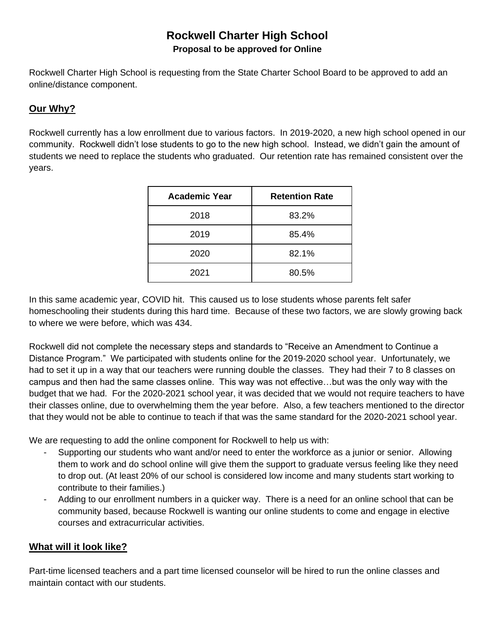## **Rockwell Charter High School Proposal to be approved for Online**

Rockwell Charter High School is requesting from the State Charter School Board to be approved to add an online/distance component.

## **Our Why?**

Rockwell currently has a low enrollment due to various factors. In 2019-2020, a new high school opened in our community. Rockwell didn't lose students to go to the new high school. Instead, we didn't gain the amount of students we need to replace the students who graduated. Our retention rate has remained consistent over the years.

| <b>Academic Year</b> | <b>Retention Rate</b> |
|----------------------|-----------------------|
| 2018                 | 83.2%                 |
| 2019                 | 85.4%                 |
| 2020                 | 82.1%                 |
| 2021                 | 80.5%                 |

In this same academic year, COVID hit. This caused us to lose students whose parents felt safer homeschooling their students during this hard time. Because of these two factors, we are slowly growing back to where we were before, which was 434.

Rockwell did not complete the necessary steps and standards to "Receive an Amendment to Continue a Distance Program." We participated with students online for the 2019-2020 school year. Unfortunately, we had to set it up in a way that our teachers were running double the classes. They had their 7 to 8 classes on campus and then had the same classes online. This way was not effective…but was the only way with the budget that we had. For the 2020-2021 school year, it was decided that we would not require teachers to have their classes online, due to overwhelming them the year before. Also, a few teachers mentioned to the director that they would not be able to continue to teach if that was the same standard for the 2020-2021 school year.

We are requesting to add the online component for Rockwell to help us with:

- Supporting our students who want and/or need to enter the workforce as a junior or senior. Allowing them to work and do school online will give them the support to graduate versus feeling like they need to drop out. (At least 20% of our school is considered low income and many students start working to contribute to their families.)
- Adding to our enrollment numbers in a quicker way. There is a need for an online school that can be community based, because Rockwell is wanting our online students to come and engage in elective courses and extracurricular activities.

## **What will it look like?**

Part-time licensed teachers and a part time licensed counselor will be hired to run the online classes and maintain contact with our students.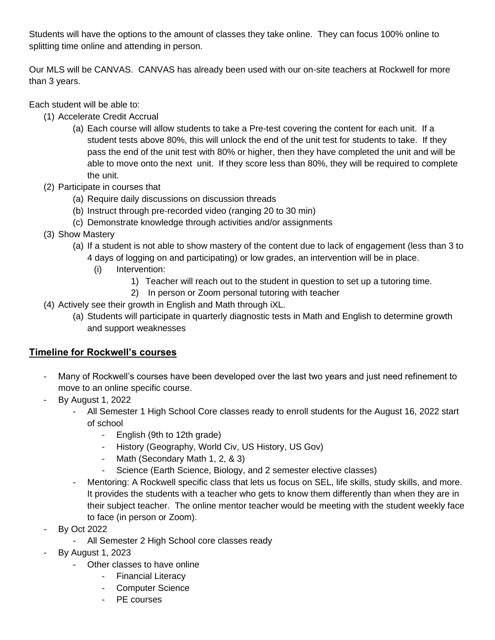Students will have the options to the amount of classes they take online. They can focus 100% online to splitting time online and attending in person.

Our MLS will be CANVAS. CANVAS has already been used with our on-site teachers at Rockwell for more than 3 years.

Each student will be able to:

- (1) Accelerate Credit Accrual
	- (a) Each course will allow students to take a Pre-test covering the content for each unit. If a student tests above 80%, this will unlock the end of the unit test for students to take. If they pass the end of the unit test with 80% or higher, then they have completed the unit and will be able to move onto the next unit. If they score less than 80%, they will be required to complete the unit.
- (2) Participate in courses that
	- (a) Require daily discussions on discussion threads
	- (b) Instruct through pre-recorded video (ranging 20 to 30 min)
	- (c) Demonstrate knowledge through activities and/or assignments
- (3) Show Mastery
	- (a) If a student is not able to show mastery of the content due to lack of engagement (less than 3 to 4 days of logging on and participating) or low grades, an intervention will be in place.
		- (i) Intervention:
			- 1) Teacher will reach out to the student in question to set up a tutoring time.
			- 2) In person or Zoom personal tutoring with teacher
- (4) Actively see their growth in English and Math through iXL.
	- (a) Students will participate in quarterly diagnostic tests in Math and English to determine growth and support weaknesses

## **Timeline for Rockwell's courses**

- Many of Rockwell's courses have been developed over the last two years and just need refinement to move to an online specific course.
- By August 1, 2022
	- All Semester 1 High School Core classes ready to enroll students for the August 16, 2022 start of school
		- English (9th to 12th grade)
		- History (Geography, World Civ, US History, US Gov)
		- Math (Secondary Math 1, 2, & 3)
		- Science (Earth Science, Biology, and 2 semester elective classes)
	- Mentoring: A Rockwell specific class that lets us focus on SEL, life skills, study skills, and more. It provides the students with a teacher who gets to know them differently than when they are in their subject teacher. The online mentor teacher would be meeting with the student weekly face to face (in person or Zoom).
- By Oct 2022
	- All Semester 2 High School core classes ready
- By August 1, 2023
	- Other classes to have online
		- Financial Literacy
		- Computer Science
		- PE courses